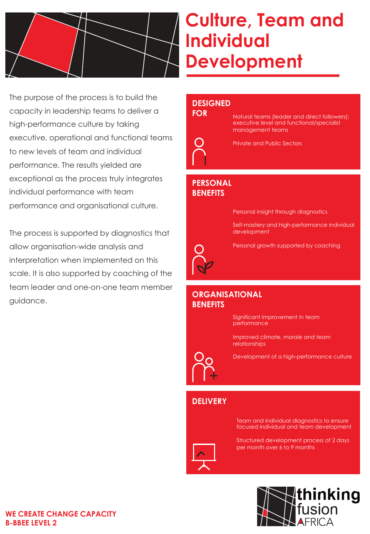

# **Culture, Team and Individual Development**

The purpose of the process is to build the capacity in leadership teams to deliver a high-performance culture by taking executive, operational and functional teams to new levels of team and individual performance. The results yielded are exceptional as the process truly integrates individual performance with team performance and organisational culture.

The process is supported by diagnostics that allow organisation-wide analysis and interpretation when implemented on this scale. It is also supported by coaching of the team leader and one-on-one team member guidance.

# **DESIGNED**

# **FOR**



Natural teams (leader and direct followers): executive level and functional/specialist management teams



### **PERSONAL BENEFITS**

Personal insight through diagnostics

Self-mastery and high-performance individual development



Personal growth supported by coaching

#### **ORGANISATIONAL BENEFITS**



Significant improvement in team performance

Improved climate, morale and team relationships

Development of a high-performance culture

## **DELIVERY**

Team and individual diagnostics to ensure focused individual and team development

Structured development process of 2 days per month over 6 to 9 months



#### **WE CREATE CHANGE CAPACITY B-BBEE LEVEL 2**